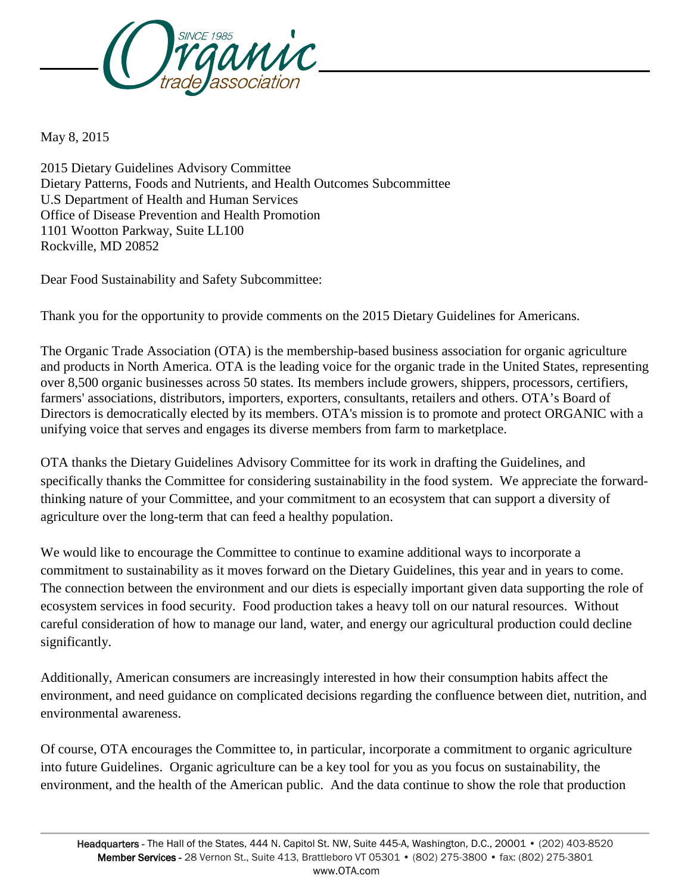

May 8, 2015

2015 Dietary Guidelines Advisory Committee Dietary Patterns, Foods and Nutrients, and Health Outcomes Subcommittee U.S Department of Health and Human Services Office of Disease Prevention and Health Promotion 1101 Wootton Parkway, Suite LL100 Rockville, MD 20852

Dear Food Sustainability and Safety Subcommittee:

Thank you for the opportunity to provide comments on the 2015 Dietary Guidelines for Americans.

The Organic Trade Association (OTA) is the membership-based business association for organic agriculture and products in North America. OTA is the leading voice for the organic trade in the United States, representing over 8,500 organic businesses across 50 states. Its members include growers, shippers, processors, certifiers, farmers' associations, distributors, importers, exporters, consultants, retailers and others. OTA's Board of Directors is democratically elected by its members. OTA's mission is to promote and protect ORGANIC with a unifying voice that serves and engages its diverse members from farm to marketplace.

OTA thanks the Dietary Guidelines Advisory Committee for its work in drafting the Guidelines, and specifically thanks the Committee for considering sustainability in the food system. We appreciate the forwardthinking nature of your Committee, and your commitment to an ecosystem that can support a diversity of agriculture over the long-term that can feed a healthy population.

We would like to encourage the Committee to continue to examine additional ways to incorporate a commitment to sustainability as it moves forward on the Dietary Guidelines, this year and in years to come. The connection between the environment and our diets is especially important given data supporting the role of ecosystem services in food security. Food production takes a heavy toll on our natural resources. Without careful consideration of how to manage our land, water, and energy our agricultural production could decline significantly.

Additionally, American consumers are increasingly interested in how their consumption habits affect the environment, and need guidance on complicated decisions regarding the confluence between diet, nutrition, and environmental awareness.

Of course, OTA encourages the Committee to, in particular, incorporate a commitment to organic agriculture into future Guidelines. Organic agriculture can be a key tool for you as you focus on sustainability, the environment, and the health of the American public. And the data continue to show the role that production